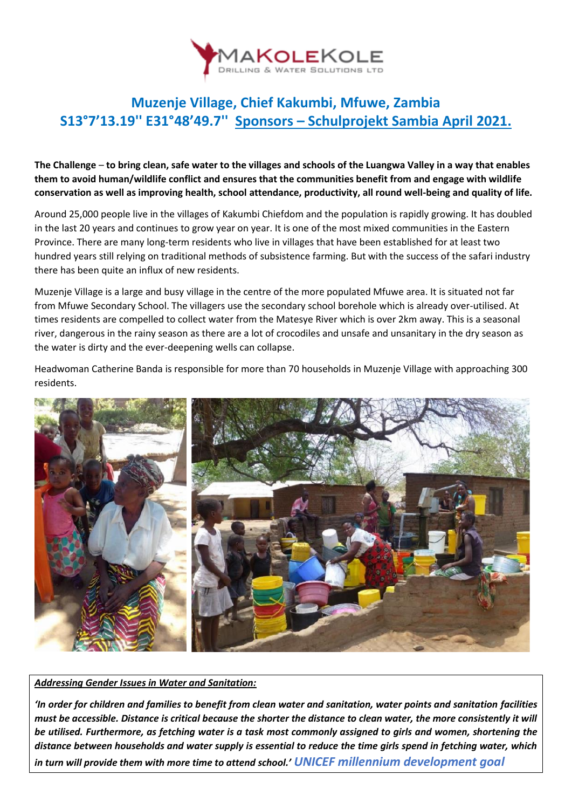

## **Muzenje Village, Chief Kakumbi, Mfuwe, Zambia S13°7'13.19'' E31°48'49.7'' Sponsors – Schulprojekt Sambia April 2021.**

**The Challenge** – **to bring clean, safe water to the villages and schools of the Luangwa Valley in a way that enables them to avoid human/wildlife conflict and ensures that the communities benefit from and engage with wildlife conservation as well as improving health, school attendance, productivity, all round well-being and quality of life.**

Around 25,000 people live in the villages of Kakumbi Chiefdom and the population is rapidly growing. It has doubled in the last 20 years and continues to grow year on year. It is one of the most mixed communities in the Eastern Province. There are many long-term residents who live in villages that have been established for at least two hundred years still relying on traditional methods of subsistence farming. But with the success of the safari industry there has been quite an influx of new residents.

Muzenje Village is a large and busy village in the centre of the more populated Mfuwe area. It is situated not far from Mfuwe Secondary School. The villagers use the secondary school borehole which is already over-utilised. At times residents are compelled to collect water from the Matesye River which is over 2km away. This is a seasonal river, dangerous in the rainy season as there are a lot of crocodiles and unsafe and unsanitary in the dry season as the water is dirty and the ever-deepening wells can collapse.

Headwoman Catherine Banda is responsible for more than 70 households in Muzenje Village with approaching 300 residents.



*Addressing Gender Issues in Water and Sanitation:*

*'In order for children and families to benefit from clean water and sanitation, water points and sanitation facilities must be accessible. Distance is critical because the shorter the distance to clean water, the more consistently it will be utilised. Furthermore, as fetching water is a task most commonly assigned to girls and women, shortening the distance between households and water supply is essential to reduce the time girls spend in fetching water, which in turn will provide them with more time to attend school.' UNICEF millennium development goal*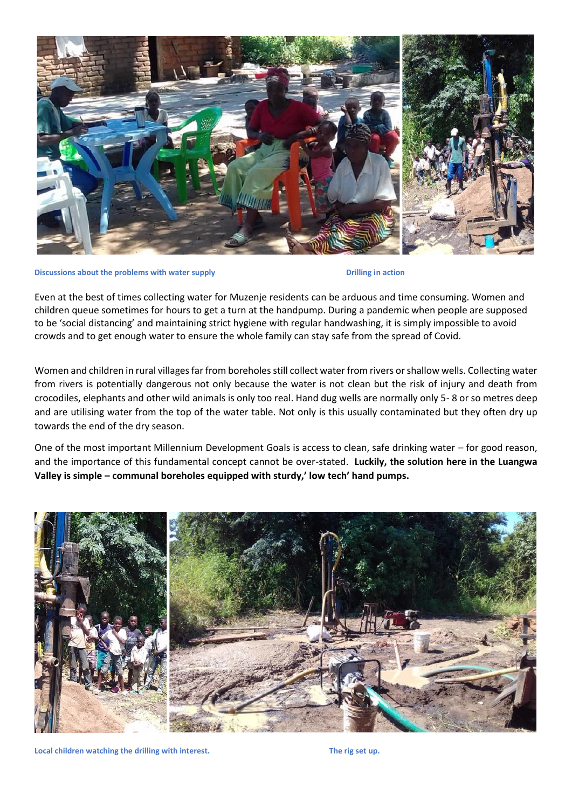

**Discussions about the problems with water supply about the problems with water supply Drilling in action** 

Even at the best of times collecting water for Muzenje residents can be arduous and time consuming. Women and children queue sometimes for hours to get a turn at the handpump. During a pandemic when people are supposed to be 'social distancing' and maintaining strict hygiene with regular handwashing, it is simply impossible to avoid crowds and to get enough water to ensure the whole family can stay safe from the spread of Covid.

Women and children in rural villages far from boreholes still collect water from rivers or shallow wells. Collecting water from rivers is potentially dangerous not only because the water is not clean but the risk of injury and death from crocodiles, elephants and other wild animals is only too real. Hand dug wells are normally only 5- 8 or so metres deep and are utilising water from the top of the water table. Not only is this usually contaminated but they often dry up towards the end of the dry season.

One of the most important Millennium Development Goals is access to clean, safe drinking water – for good reason, and the importance of this fundamental concept cannot be over-stated. **Luckily, the solution here in the Luangwa Valley is simple – communal boreholes equipped with sturdy,' low tech' hand pumps.**



Local children watching the drilling with interest. The rig set up.